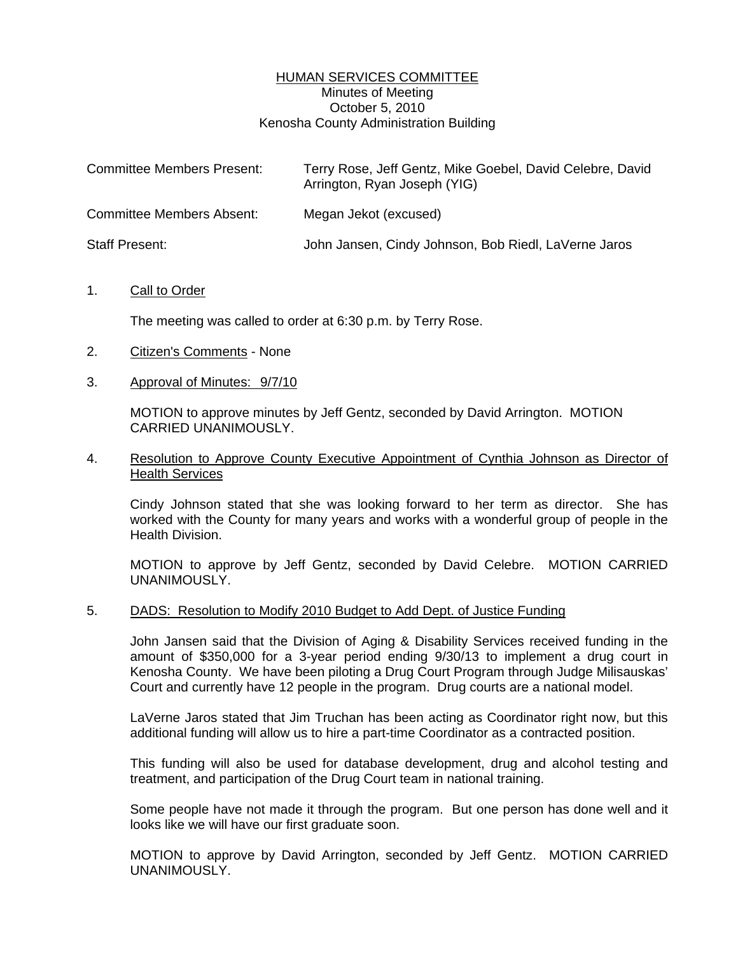## HUMAN SERVICES COMMITTEE Minutes of Meeting October 5, 2010 Kenosha County Administration Building

| <b>Committee Members Present:</b> | Terry Rose, Jeff Gentz, Mike Goebel, David Celebre, David<br>Arrington, Ryan Joseph (YIG) |
|-----------------------------------|-------------------------------------------------------------------------------------------|
| <b>Committee Members Absent:</b>  | Megan Jekot (excused)                                                                     |
| <b>Staff Present:</b>             | John Jansen, Cindy Johnson, Bob Riedl, LaVerne Jaros                                      |

### 1. Call to Order

The meeting was called to order at 6:30 p.m. by Terry Rose.

- 2. Citizen's Comments None
- 3. Approval of Minutes: 9/7/10

 MOTION to approve minutes by Jeff Gentz, seconded by David Arrington. MOTION CARRIED UNANIMOUSLY.

### 4. Resolution to Approve County Executive Appointment of Cynthia Johnson as Director of Health Services

 Cindy Johnson stated that she was looking forward to her term as director. She has worked with the County for many years and works with a wonderful group of people in the Health Division.

 MOTION to approve by Jeff Gentz, seconded by David Celebre. MOTION CARRIED UNANIMOUSLY.

### 5. DADS: Resolution to Modify 2010 Budget to Add Dept. of Justice Funding

 John Jansen said that the Division of Aging & Disability Services received funding in the amount of \$350,000 for a 3-year period ending 9/30/13 to implement a drug court in Kenosha County. We have been piloting a Drug Court Program through Judge Milisauskas' Court and currently have 12 people in the program. Drug courts are a national model.

 LaVerne Jaros stated that Jim Truchan has been acting as Coordinator right now, but this additional funding will allow us to hire a part-time Coordinator as a contracted position.

 This funding will also be used for database development, drug and alcohol testing and treatment, and participation of the Drug Court team in national training.

 Some people have not made it through the program. But one person has done well and it looks like we will have our first graduate soon.

 MOTION to approve by David Arrington, seconded by Jeff Gentz. MOTION CARRIED UNANIMOUSLY.